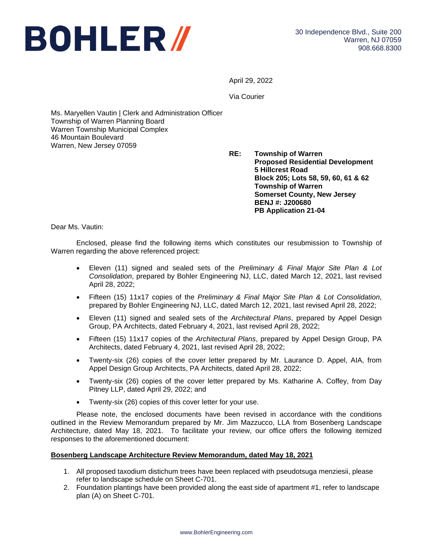

April 29, 2022

Via Courier

Ms. Maryellen Vautin | Clerk and Administration Officer Township of Warren Planning Board Warren Township Municipal Complex 46 Mountain Boulevard Warren, New Jersey 07059

> **RE: Township of Warren Proposed Residential Development 5 Hillcrest Road Block 205; Lots 58, 59, 60, 61 & 62 Township of Warren Somerset County, New Jersey BENJ #: J200680 PB Application 21-04**

Dear Ms. Vautin:

Enclosed, please find the following items which constitutes our resubmission to Township of Warren regarding the above referenced project:

- Eleven (11) signed and sealed sets of the *Preliminary & Final Major Site Plan & Lot Consolidation*, prepared by Bohler Engineering NJ, LLC, dated March 12, 2021, last revised April 28, 2022;
- Fifteen (15) 11x17 copies of the *Preliminary & Final Major Site Plan & Lot Consolidation*, prepared by Bohler Engineering NJ, LLC, dated March 12, 2021, last revised April 28, 2022;
- Eleven (11) signed and sealed sets of the *Architectural Plans*, prepared by Appel Design Group, PA Architects, dated February 4, 2021, last revised April 28, 2022;
- Fifteen (15) 11x17 copies of the *Architectural Plans*, prepared by Appel Design Group, PA Architects, dated February 4, 2021, last revised April 28, 2022;
- Twenty-six (26) copies of the cover letter prepared by Mr. Laurance D. Appel, AIA, from Appel Design Group Architects, PA Architects, dated April 28, 2022;
- Twenty-six (26) copies of the cover letter prepared by Ms. Katharine A. Coffey, from Day Pitney LLP, dated April 29, 2022; and
- Twenty-six (26) copies of this cover letter for your use.

Please note, the enclosed documents have been revised in accordance with the conditions outlined in the Review Memorandum prepared by Mr. Jim Mazzucco, LLA from Bosenberg Landscape Architecture, dated May 18, 2021. To facilitate your review, our office offers the following itemized responses to the aforementioned document:

## **Bosenberg Landscape Architecture Review Memorandum, dated May 18, 2021**

- 1. All proposed taxodium distichum trees have been replaced with pseudotsuga menziesii, please refer to landscape schedule on Sheet C-701.
- 2. Foundation plantings have been provided along the east side of apartment #1, refer to landscape plan (A) on Sheet C-701.